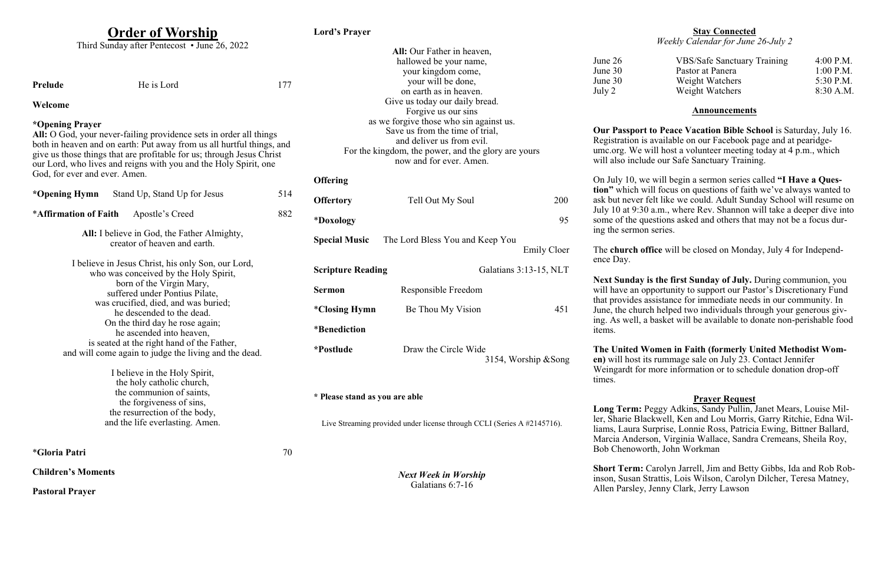## **Order of Worship**

Third Sunday after Pentecost • June 26, 2022

**Prelude** He is Lord 177

### **Welcome**

### **\*Opening Prayer**

**All:** O God, your never-failing providence sets in order all things both in heaven and on earth: Put away from us all hurtful things, and give us those things that are profitable for us; through Jesus Christ our Lord, who lives and reigns with you and the Holy Spirit, one God, for ever and ever. Amen.

**\*Opening Hymn** Stand Up, Stand Up for Jesus 514 \***Affirmation of Faith** Apostle's Creed 882 **All:** I believe in God, the Father Almighty, creator of heaven and earth. I believe in Jesus Christ, his only Son, our Lord, who was conceived by the Holy Spirit, born of the Virgin Mary, suffered under Pontius Pilate, was crucified, died, and was buried; he descended to the dead. On the third day he rose again; he ascended into heaven, is seated at the right hand of the Father, and will come again to judge the living and the dead.

**Scripture Reading** Galatians 3:13-15, NLT **Sermon** Responsible Freedom \***Closing Hymn** Be Thou My Vision 451 \***Benediction \*Postlude** Draw the Circle Wide 3154, Worship &Song

I believe in the Holy Spirit, the holy catholic church, the communion of saints, the forgiveness of sins, the resurrection of the body, and the life everlasting. Amen.

\***Gloria Patri** 70

**Children's Moments**

**Pastoral Prayer**

**Lord's Prayer**

**All:** Our Father in heaven, hallowed be your name, your kingdom come, your will be done, on earth as in heaven. Give us today our daily bread. Forgive us our sins as we forgive those who sin against us. Save us from the time of trial, and deliver us from evil. For the kingdom, the power, and the glory are yours now and for ever. Amen. **Offering Offertory** Tell Out My Soul 200 \***Doxology** 95 **Special Music** The Lord Bless You and Keep You Emily Cloer

**\* Please stand as you are able**

Live Streaming provided under license through CCLI (Series A #2145716).

*Next Week in Worship* Galatians 6:7-16

#### **Stay Connected** *Weekly Calendar for June 26-July 2*

| <b>VBS/Safe Sanctuary Training</b> | 4:00 P.M.   |
|------------------------------------|-------------|
| Pastor at Panera                   | $1:00$ P.M. |
| Weight Watchers                    | 5:30 P.M.   |
| Weight Watchers                    | 8:30 A.M.   |
|                                    |             |

#### **Announcements**

**Our Passport to Peace Vacation Bible School** is Saturday, July 16. Registration is available on our Facebook page and at pearidgeumc.org. We will host a volunteer meeting today at 4 p.m., which will also include our Safe Sanctuary Training.

On July 10, we will begin a sermon series called **"I Have a Question"** which will focus on questions of faith we've always wanted to ask but never felt like we could. Adult Sunday School will resume on July 10 at 9:30 a.m., where Rev. Shannon will take a deeper dive into some of the questions asked and others that may not be a focus during the sermon series.

The **church office** will be closed on Monday, July 4 for Independ-

ence Day.

**Next Sunday is the first Sunday of July.** During communion, you will have an opportunity to support our Pastor's Discretionary Fund that provides assistance for immediate needs in our community. In June, the church helped two individuals through your generous giving. As well, a basket will be available to donate non-perishable food items.

**The United Women in Faith (formerly United Methodist Women)** will host its rummage sale on July 23. Contact Jennifer Weingardt for more information or to schedule donation drop-off times.

#### **Prayer Request**

**Long Term:** Peggy Adkins, Sandy Pullin, Janet Mears, Louise Miller, Sharie Blackwell, Ken and Lou Morris, Garry Ritchie, Edna Williams, Laura Surprise, Lonnie Ross, Patricia Ewing, Bittner Ballard, Marcia Anderson, Virginia Wallace, Sandra Cremeans, Sheila Roy, Bob Chenoworth, John Workman

**Short Term:** Carolyn Jarrell, Jim and Betty Gibbs, Ida and Rob Robinson, Susan Strattis, Lois Wilson, Carolyn Dilcher, Teresa Matney, Allen Parsley, Jenny Clark, Jerry Lawson